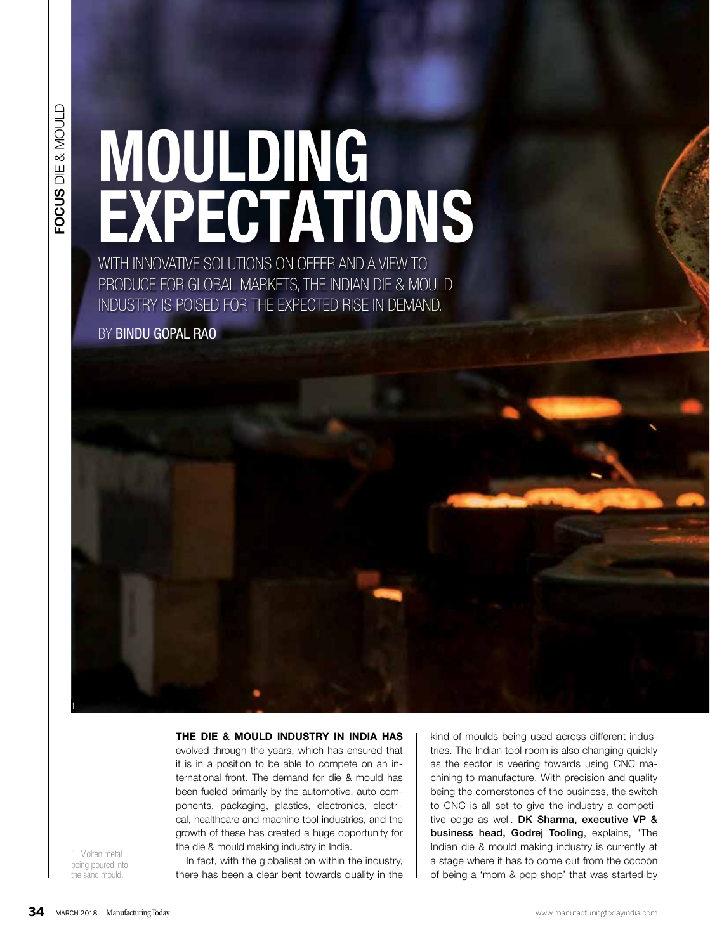# MOULDING<br>
EXPECTATIONS **MOULDING EXPECTATIONS**

WITH INNOVATIVE SOLUTIONS ON OFFER AND A VIEW TO PRODUCE FOR GLOBAL MARKETS, THE INDIAN DIE & MOULD INDUSTRY IS POISED FOR THE EXPECTED RISE IN DEMAND.

BY BINDU GOPAL RAO

**THE DIE & MOULD INDUSTRY IN INDIA HAS**

evolved through the years, which has ensured that it is in a position to be able to compete on an international front. The demand for die & mould has been fueled primarily by the automotive, auto components, packaging, plastics, electronics, electrical, healthcare and machine tool industries, and the growth of these has created a huge opportunity for the die & mould making industry in India.

1. Molten metal being poured into the sand mould.

1

kind of moulds being used across different industries. The Indian tool room is also changing quickly as the sector is veering towards using CNC machining to manufacture. With precision and quality being the cornerstones of the business, the switch to CNC is all set to give the industry a competitive edge as well. DK Sharma, executive VP & business head, Godrej Tooling, explains, "The Indian die & mould making industry is currently at a stage where it has to come out from the cocoon of being a 'mom & pop shop' that was started by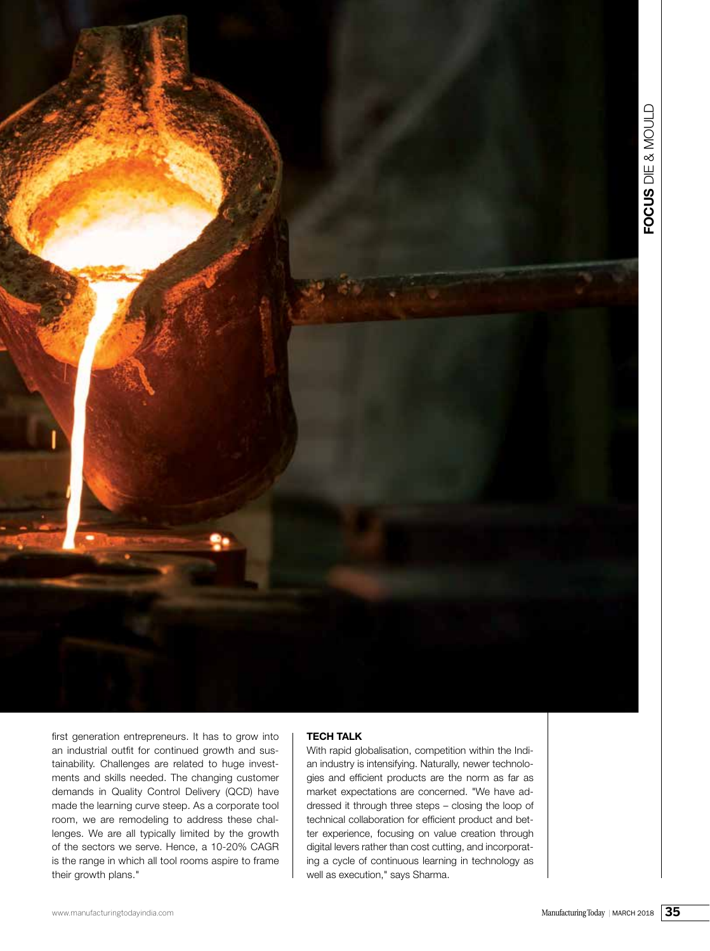

first generation entrepreneurs. It has to grow into an industrial outfit for continued growth and sustainability. Challenges are related to huge investments and skills needed. The changing customer demands in Quality Control Delivery (QCD) have made the learning curve steep. As a corporate tool room, we are remodeling to address these challenges. We are all typically limited by the growth of the sectors we serve. Hence, a 10-20% CAGR is the range in which all tool rooms aspire to frame their growth plans."

# **TECH TALK**

With rapid globalisation, competition within the Indian industry is intensifying. Naturally, newer technologies and efficient products are the norm as far as market expectations are concerned. "We have addressed it through three steps – closing the loop of technical collaboration for efficient product and better experience, focusing on value creation through digital levers rather than cost cutting, and incorporating a cycle of continuous learning in technology as well as execution," says Sharma.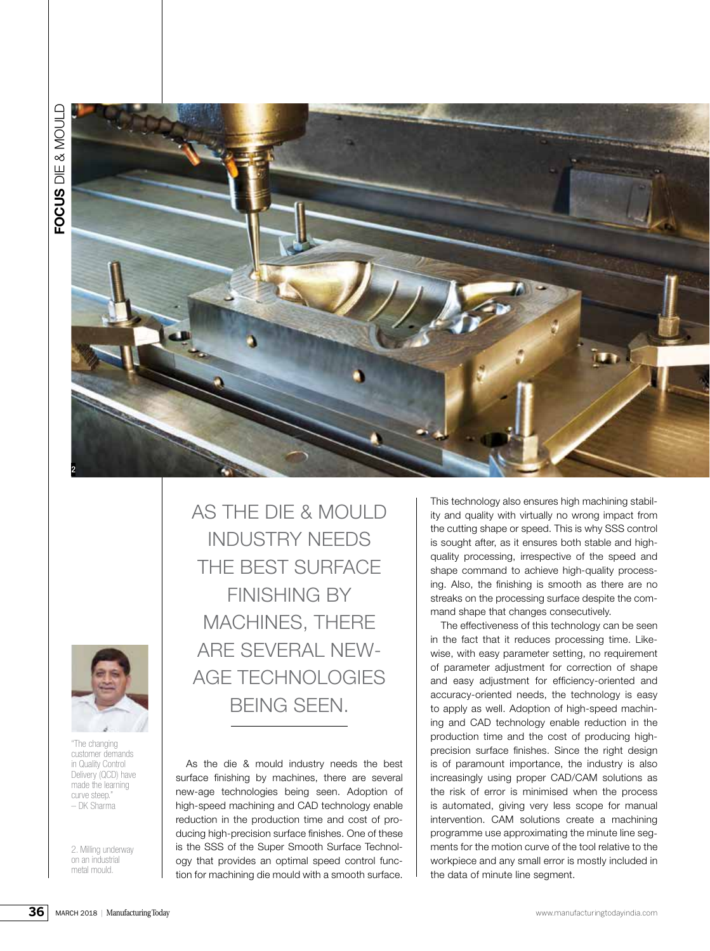

"The changing customer demands in Quality Control Delivery (QCD) have made the learning curve steep." – DK Sharma

2. Milling underway on an industrial metal mould.

AS THE DIE & MOULD INDUSTRY NEEDS THE BEST SURFACE FINISHING BY MACHINES, THERE ARE SEVERAL NEW-AGE TECHNOLOGIES BEING SEEN.

As the die & mould industry needs the best surface finishing by machines, there are several new-age technologies being seen. Adoption of high-speed machining and CAD technology enable reduction in the production time and cost of producing high-precision surface finishes. One of these is the SSS of the Super Smooth Surface Technology that provides an optimal speed control function for machining die mould with a smooth surface.

This technology also ensures high machining stability and quality with virtually no wrong impact from the cutting shape or speed. This is why SSS control is sought after, as it ensures both stable and highquality processing, irrespective of the speed and shape command to achieve high-quality processing. Also, the finishing is smooth as there are no streaks on the processing surface despite the command shape that changes consecutively.

The effectiveness of this technology can be seen in the fact that it reduces processing time. Likewise, with easy parameter setting, no requirement of parameter adjustment for correction of shape and easy adjustment for efficiency-oriented and accuracy-oriented needs, the technology is easy to apply as well. Adoption of high-speed machining and CAD technology enable reduction in the production time and the cost of producing highprecision surface finishes. Since the right design is of paramount importance, the industry is also increasingly using proper CAD/CAM solutions as the risk of error is minimised when the process is automated, giving very less scope for manual intervention. CAM solutions create a machining programme use approximating the minute line segments for the motion curve of the tool relative to the workpiece and any small error is mostly included in the data of minute line segment.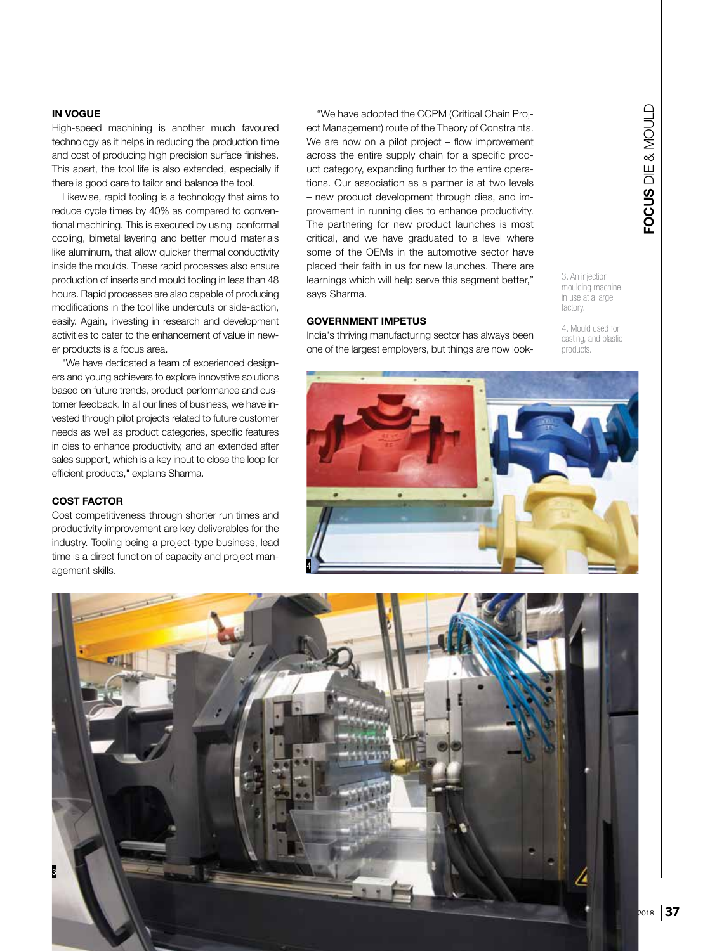### **IN VOGUE**

High-speed machining is another much favoured technology as it helps in reducing the production time and cost of producing high precision surface finishes. This apart, the tool life is also extended, especially if there is good care to tailor and balance the tool.

Likewise, rapid tooling is a technology that aims to reduce cycle times by 40% as compared to conventional machining. This is executed by using conformal cooling, bimetal layering and better mould materials like aluminum, that allow quicker thermal conductivity inside the moulds. These rapid processes also ensure production of inserts and mould tooling in less than 48 hours. Rapid processes are also capable of producing modifications in the tool like undercuts or side-action, easily. Again, investing in research and development activities to cater to the enhancement of value in newer products is a focus area.

"We have dedicated a team of experienced designers and young achievers to explore innovative solutions based on future trends, product performance and customer feedback. In all our lines of business, we have invested through pilot projects related to future customer needs as well as product categories, specific features in dies to enhance productivity, and an extended after sales support, which is a key input to close the loop for efficient products," explains Sharma.

# **COST FACTOR**

3

Cost competitiveness through shorter run times and productivity improvement are key deliverables for the industry. Tooling being a project-type business, lead time is a direct function of capacity and project management skills.

"We have adopted the CCPM (Critical Chain Project Management) route of the Theory of Constraints. We are now on a pilot project – flow improvement across the entire supply chain for a specific product category, expanding further to the entire operations. Our association as a partner is at two levels – new product development through dies, and improvement in running dies to enhance productivity. The partnering for new product launches is most critical, and we have graduated to a level where some of the OEMs in the automotive sector have placed their faith in us for new launches. There are learnings which will help serve this segment better," says Sharma.

# **GOVERNMENT IMPETUS**

India's thriving manufacturing sector has always been one of the largest employers, but things are now look3. An injection moulding machine in use at a large factory.

4. Mould used for casting, and plastic products.